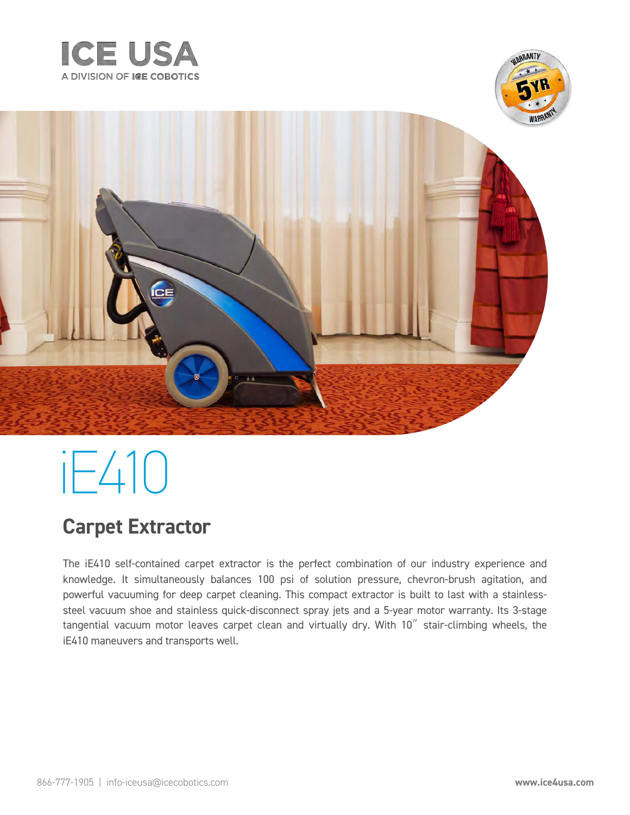



# iE410

### **Carpet Extractor**

The iE410 self-contained carpet extractor is the perfect combination of our industry experience and knowledge. It simultaneously balances 100 psi of solution pressure, chevron-brush agitation, and powerful vacuuming for deep carpet cleaning. This compact extractor is built to last with a stainlesssteel vacuum shoe and stainless quick-disconnect spray jets and a 5-year motor warranty. Its 3-stage tangential vacuum motor leaves carpet clean and virtually dry. With 10" stair-climbing wheels, the iE410 maneuvers and transports well.

**DRANTI**